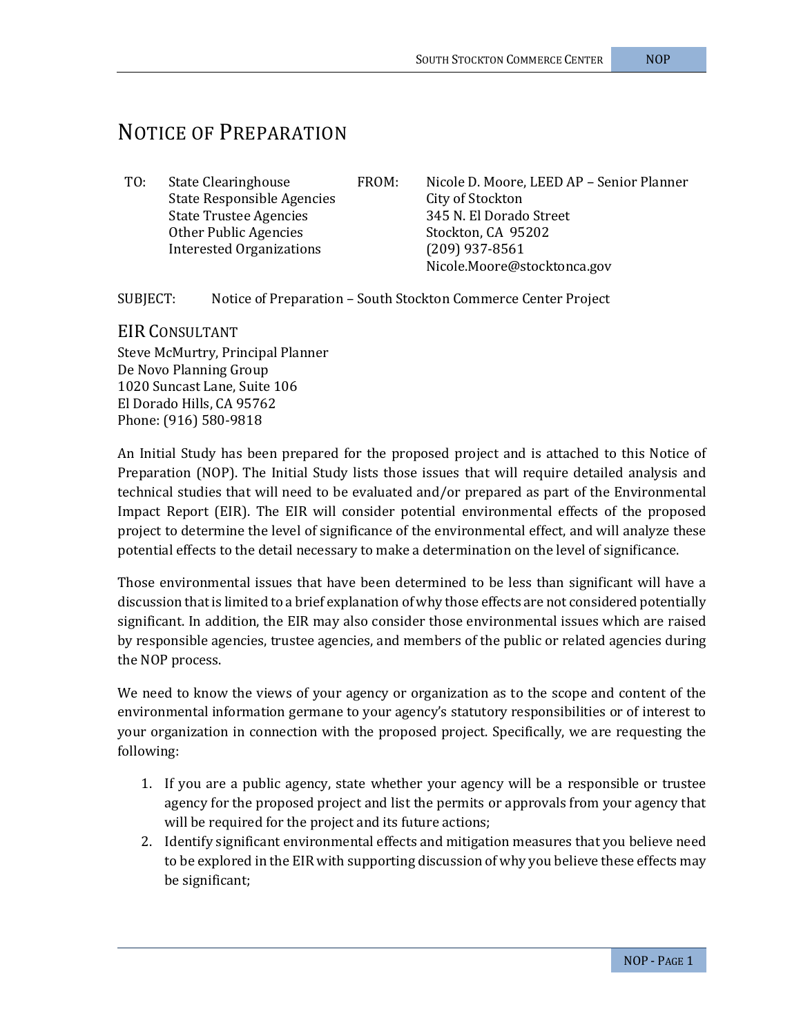## NOTICE OF PREPARATION

State Responsible Agencies<br>
State Trustee Agencies<br>
245 N. El Dorado Street State Trustee Agencies<br>
Other Public Agencies<br>
Stockton. CA 95202 Other Public Agencies Stockton, CA 95<br>Interested Organizations (209) 937-8561 Interested Organizations

TO: State Clearinghouse FROM: Nicole D. Moore, LEED AP – Senior Planner Nicole.Moore@stocktonca.gov

SUBJECT: Notice of Preparation – South Stockton Commerce Center Project

EIR CONSULTANT Steve McMurtry, Principal Planner De Novo Planning Group 1020 Suncast Lane, Suite 106 El Dorado Hills, CA 95762 Phone: (916) 580-9818

An Initial Study has been prepared for the proposed project and is attached to this Notice of Preparation (NOP). The Initial Study lists those issues that will require detailed analysis and technical studies that will need to be evaluated and/or prepared as part of the Environmental Impact Report (EIR). The EIR will consider potential environmental effects of the proposed project to determine the level of significance of the environmental effect, and will analyze these potential effects to the detail necessary to make a determination on the level of significance.

Those environmental issues that have been determined to be less than significant will have a discussion that is limited to a brief explanation of why those effects are not considered potentially significant. In addition, the EIR may also consider those environmental issues which are raised by responsible agencies, trustee agencies, and members of the public or related agencies during the NOP process.

We need to know the views of your agency or organization as to the scope and content of the environmental information germane to your agency's statutory responsibilities or of interest to your organization in connection with the proposed project. Specifically, we are requesting the following:

- 1. If you are a public agency, state whether your agency will be a responsible or trustee agency for the proposed project and list the permits or approvals from your agency that will be required for the project and its future actions;
- 2. Identify significant environmental effects and mitigation measures that you believe need to be explored in the EIR with supporting discussion of why you believe these effects may be significant;